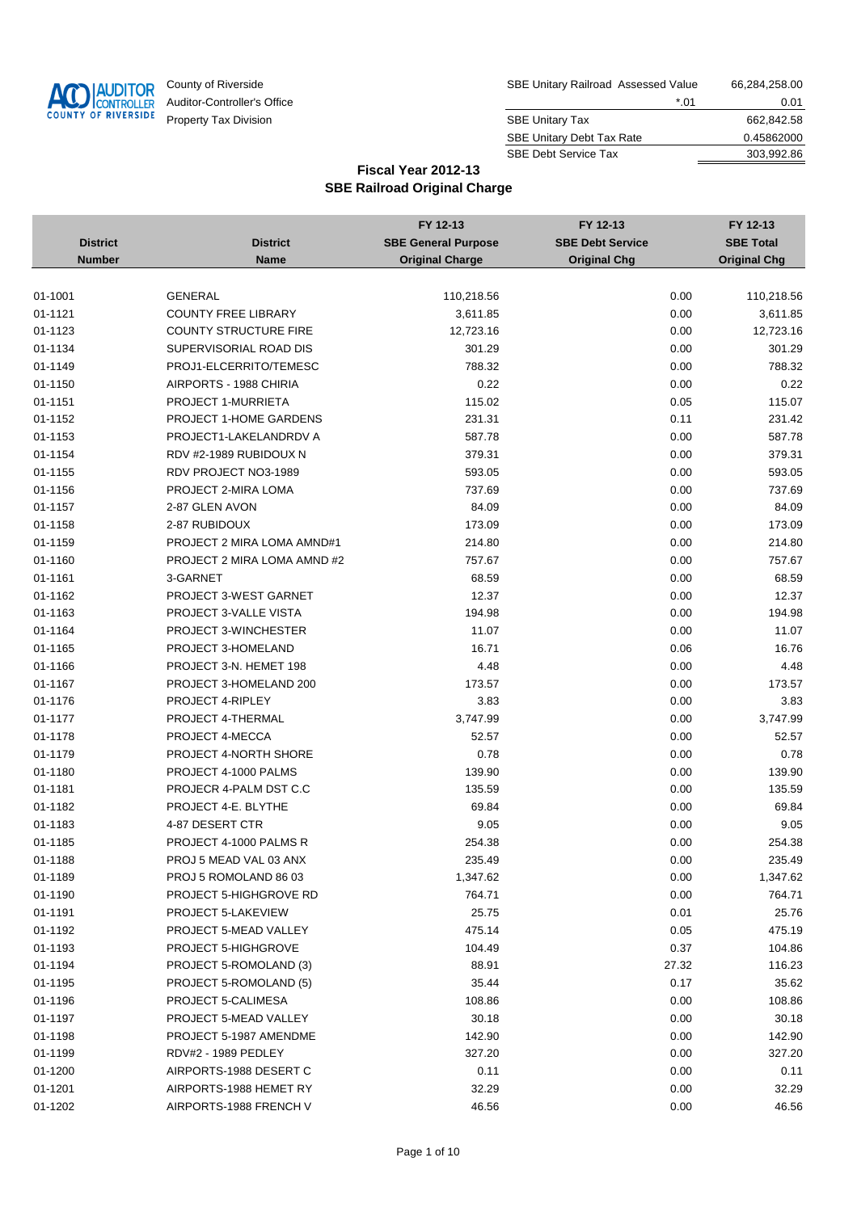

| County of Riverside         | SBE Unitary Railroad Assessed Value | 66,284,258.00 |
|-----------------------------|-------------------------------------|---------------|
| Auditor-Controller's Office | *.01                                | 0.01          |
| Property Tax Division       | <b>SBE Unitary Tax</b>              | 662,842.58    |
|                             | <b>SBE Unitary Debt Tax Rate</b>    | 0.45862000    |
|                             | <b>SBE Debt Service Tax</b>         | 303.992.86    |

|                 |                               | FY 12-13                   | FY 12-13                | FY 12-13            |
|-----------------|-------------------------------|----------------------------|-------------------------|---------------------|
| <b>District</b> | <b>District</b>               | <b>SBE General Purpose</b> | <b>SBE Debt Service</b> | <b>SBE Total</b>    |
| <b>Number</b>   | <b>Name</b>                   | <b>Original Charge</b>     | <b>Original Chg</b>     | <b>Original Chg</b> |
|                 |                               |                            |                         |                     |
| 01-1001         | <b>GENERAL</b>                | 110,218.56                 | 0.00                    | 110,218.56          |
| 01-1121         | <b>COUNTY FREE LIBRARY</b>    | 3,611.85                   | 0.00                    | 3,611.85            |
| 01-1123         | <b>COUNTY STRUCTURE FIRE</b>  | 12,723.16                  | 0.00                    | 12,723.16           |
| 01-1134         | SUPERVISORIAL ROAD DIS        | 301.29                     | 0.00                    | 301.29              |
| 01-1149         | PROJ1-ELCERRITO/TEMESC        | 788.32                     | 0.00                    | 788.32              |
| 01-1150         | AIRPORTS - 1988 CHIRIA        | 0.22                       | 0.00                    | 0.22                |
| 01-1151         | PROJECT 1-MURRIETA            | 115.02                     | 0.05                    | 115.07              |
| 01-1152         | <b>PROJECT 1-HOME GARDENS</b> | 231.31                     | 0.11                    | 231.42              |
| 01-1153         | PROJECT1-LAKELANDRDV A        | 587.78                     | 0.00                    | 587.78              |
| 01-1154         | RDV #2-1989 RUBIDOUX N        | 379.31                     | 0.00                    | 379.31              |
| 01-1155         | RDV PROJECT NO3-1989          | 593.05                     | 0.00                    | 593.05              |
| 01-1156         | PROJECT 2-MIRA LOMA           | 737.69                     | 0.00                    | 737.69              |
| 01-1157         | 2-87 GLEN AVON                | 84.09                      | 0.00                    | 84.09               |
| 01-1158         | 2-87 RUBIDOUX                 | 173.09                     | 0.00                    | 173.09              |
| 01-1159         | PROJECT 2 MIRA LOMA AMND#1    | 214.80                     | 0.00                    | 214.80              |
| 01-1160         | PROJECT 2 MIRA LOMA AMND #2   | 757.67                     | 0.00                    | 757.67              |
| 01-1161         | 3-GARNET                      | 68.59                      | 0.00                    | 68.59               |
| 01-1162         | PROJECT 3-WEST GARNET         | 12.37                      | 0.00                    | 12.37               |
| 01-1163         | PROJECT 3-VALLE VISTA         | 194.98                     | 0.00                    | 194.98              |
| 01-1164         | PROJECT 3-WINCHESTER          | 11.07                      | 0.00                    | 11.07               |
| 01-1165         | PROJECT 3-HOMELAND            | 16.71                      | 0.06                    | 16.76               |
| 01-1166         | PROJECT 3-N. HEMET 198        | 4.48                       | 0.00                    | 4.48                |
| 01-1167         | PROJECT 3-HOMELAND 200        | 173.57                     | 0.00                    | 173.57              |
| 01-1176         | PROJECT 4-RIPLEY              | 3.83                       | 0.00                    | 3.83                |
| 01-1177         | PROJECT 4-THERMAL             | 3,747.99                   | 0.00                    | 3,747.99            |
| 01-1178         | PROJECT 4-MECCA               | 52.57                      | 0.00                    | 52.57               |
| 01-1179         | PROJECT 4-NORTH SHORE         | 0.78                       | 0.00                    | 0.78                |
| 01-1180         | PROJECT 4-1000 PALMS          | 139.90                     | 0.00                    | 139.90              |
| 01-1181         | PROJECR 4-PALM DST C.C        | 135.59                     | 0.00                    | 135.59              |
| 01-1182         | PROJECT 4-E. BLYTHE           | 69.84                      | 0.00                    | 69.84               |
| 01-1183         | 4-87 DESERT CTR               | 9.05                       | 0.00                    | 9.05                |
| 01-1185         | PROJECT 4-1000 PALMS R        | 254.38                     | 0.00                    | 254.38              |
| 01-1188         | PROJ 5 MEAD VAL 03 ANX        | 235.49                     | 0.00                    | 235.49              |
| 01-1189         | PROJ 5 ROMOLAND 86 03         | 1,347.62                   | 0.00                    | 1,347.62            |
| 01-1190         | PROJECT 5-HIGHGROVE RD        | 764.71                     | 0.00                    | 764.71              |
| 01-1191         | PROJECT 5-LAKEVIEW            | 25.75                      | 0.01                    | 25.76               |
| 01-1192         | <b>PROJECT 5-MEAD VALLEY</b>  | 475.14                     | 0.05                    | 475.19              |
| 01-1193         | PROJECT 5-HIGHGROVE           | 104.49                     | 0.37                    | 104.86              |
| 01-1194         | PROJECT 5-ROMOLAND (3)        | 88.91                      | 27.32                   | 116.23              |
| 01-1195         | PROJECT 5-ROMOLAND (5)        | 35.44                      | 0.17                    | 35.62               |
| 01-1196         | PROJECT 5-CALIMESA            | 108.86                     | 0.00                    | 108.86              |
| 01-1197         | PROJECT 5-MEAD VALLEY         | 30.18                      | 0.00                    | 30.18               |
| 01-1198         | PROJECT 5-1987 AMENDME        | 142.90                     | 0.00                    | 142.90              |
| 01-1199         | RDV#2 - 1989 PEDLEY           | 327.20                     | 0.00                    | 327.20              |
| 01-1200         | AIRPORTS-1988 DESERT C        | 0.11                       | 0.00                    | 0.11                |
| 01-1201         | AIRPORTS-1988 HEMET RY        | 32.29                      | 0.00                    | 32.29               |
| 01-1202         | AIRPORTS-1988 FRENCH V        | 46.56                      | 0.00                    | 46.56               |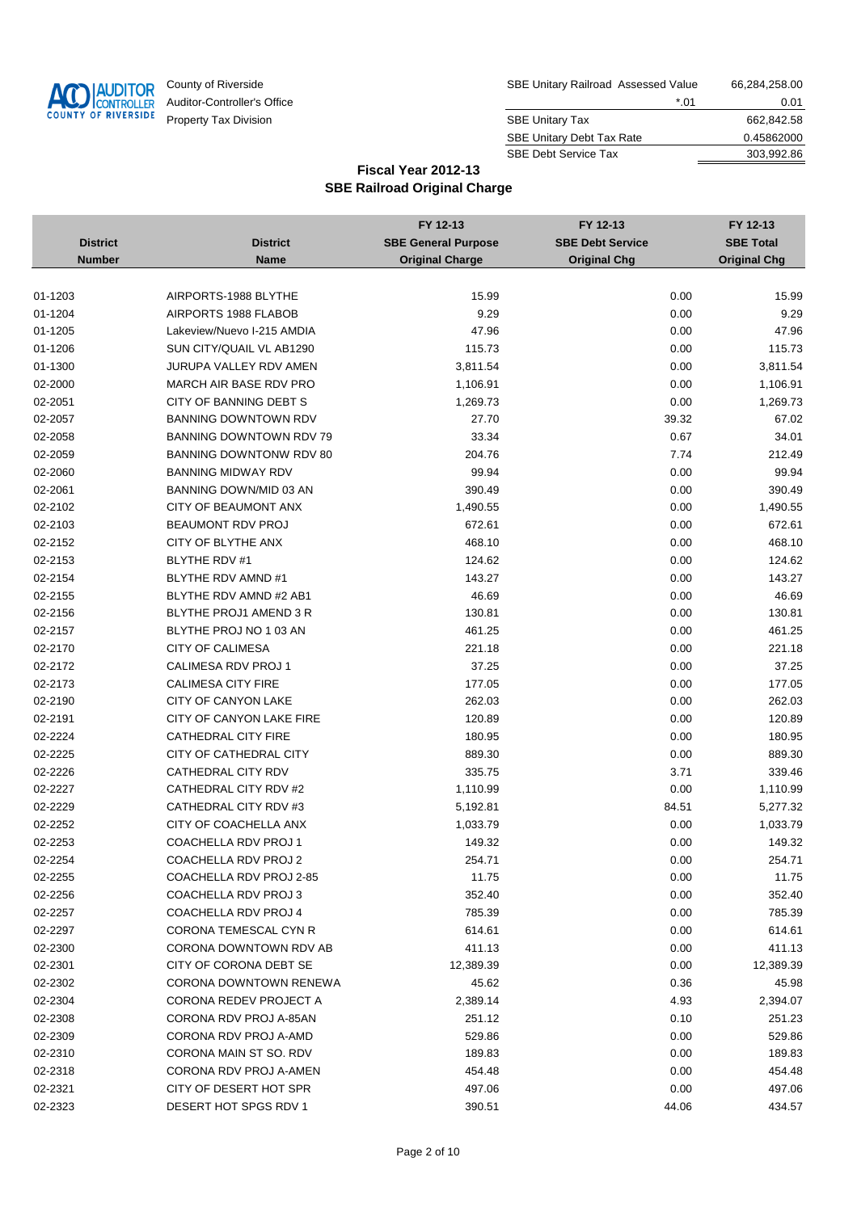

| County of Riverside         | SBE Unitary Railroad Assessed Value | 66,284,258.00 |
|-----------------------------|-------------------------------------|---------------|
| Auditor-Controller's Office | *.01                                | 0.01          |
| Property Tax Division       | <b>SBE Unitary Tax</b>              | 662.842.58    |
|                             | <b>SBE Unitary Debt Tax Rate</b>    | 0.45862000    |
|                             | <b>SBE Debt Service Tax</b>         | 303.992.86    |

|                 |                                                | FY 12-13                   | FY 12-13                | FY 12-13            |
|-----------------|------------------------------------------------|----------------------------|-------------------------|---------------------|
| <b>District</b> | <b>District</b>                                | <b>SBE General Purpose</b> | <b>SBE Debt Service</b> | <b>SBE Total</b>    |
| <b>Number</b>   | <b>Name</b>                                    | <b>Original Charge</b>     | <b>Original Chg</b>     | <b>Original Chg</b> |
|                 |                                                |                            |                         |                     |
| 01-1203         | AIRPORTS-1988 BLYTHE                           | 15.99                      | 0.00                    | 15.99               |
| 01-1204         | AIRPORTS 1988 FLABOB                           | 9.29                       | 0.00                    | 9.29                |
| 01-1205         | Lakeview/Nuevo I-215 AMDIA                     | 47.96                      | 0.00                    | 47.96               |
| 01-1206         | SUN CITY/QUAIL VL AB1290                       | 115.73                     | 0.00                    | 115.73              |
| 01-1300         | JURUPA VALLEY RDV AMEN                         | 3,811.54                   | 0.00                    | 3,811.54            |
| 02-2000         | MARCH AIR BASE RDV PRO                         | 1,106.91                   | 0.00                    | 1,106.91            |
| 02-2051         | CITY OF BANNING DEBT S                         | 1,269.73                   | 0.00                    | 1,269.73            |
| 02-2057         | <b>BANNING DOWNTOWN RDV</b>                    | 27.70                      | 39.32                   | 67.02               |
| 02-2058         | <b>BANNING DOWNTOWN RDV 79</b>                 | 33.34                      | 0.67                    | 34.01               |
| 02-2059         | BANNING DOWNTONW RDV 80                        | 204.76                     | 7.74                    | 212.49              |
| 02-2060         | <b>BANNING MIDWAY RDV</b>                      | 99.94                      | 0.00                    | 99.94               |
| 02-2061         | BANNING DOWN/MID 03 AN                         | 390.49                     | 0.00                    | 390.49              |
| 02-2102         | CITY OF BEAUMONT ANX                           | 1,490.55                   | 0.00                    | 1,490.55            |
| 02-2103         | <b>BEAUMONT RDV PROJ</b>                       | 672.61                     | 0.00                    | 672.61              |
| 02-2152         | CITY OF BLYTHE ANX                             | 468.10                     | 0.00                    | 468.10              |
| 02-2153         | BLYTHE RDV #1                                  | 124.62                     | 0.00                    | 124.62              |
| 02-2154         | BLYTHE RDV AMND #1                             | 143.27                     | 0.00                    | 143.27              |
| 02-2155         | BLYTHE RDV AMND #2 AB1                         | 46.69                      | 0.00                    | 46.69               |
| 02-2156         | BLYTHE PROJ1 AMEND 3 R                         | 130.81                     | 0.00                    | 130.81              |
| 02-2157         | BLYTHE PROJ NO 1 03 AN                         | 461.25                     | 0.00                    | 461.25              |
| 02-2170         | <b>CITY OF CALIMESA</b>                        | 221.18                     | 0.00                    | 221.18              |
| 02-2172         | CALIMESA RDV PROJ 1                            | 37.25                      | 0.00                    | 37.25               |
| 02-2173         | <b>CALIMESA CITY FIRE</b>                      | 177.05                     | 0.00                    | 177.05              |
| 02-2190         | <b>CITY OF CANYON LAKE</b>                     | 262.03                     | 0.00                    | 262.03              |
| 02-2191         | CITY OF CANYON LAKE FIRE                       | 120.89                     | 0.00                    | 120.89              |
| 02-2224         | CATHEDRAL CITY FIRE                            | 180.95                     | 0.00                    | 180.95              |
| 02-2225         | CITY OF CATHEDRAL CITY                         | 889.30                     | 0.00                    | 889.30              |
| 02-2226         | CATHEDRAL CITY RDV                             | 335.75                     | 3.71                    | 339.46              |
| 02-2227         | CATHEDRAL CITY RDV #2                          | 1,110.99                   | 0.00                    | 1,110.99            |
|                 |                                                |                            |                         |                     |
| 02-2229         | CATHEDRAL CITY RDV #3<br>CITY OF COACHELLA ANX | 5,192.81                   | 84.51                   | 5,277.32            |
| 02-2252         |                                                | 1,033.79                   | 0.00                    | 1,033.79            |
| 02-2253         | COACHELLA RDV PROJ 1                           | 149.32                     | 0.00                    | 149.32              |
| 02-2254         | COACHELLA RDV PROJ 2                           | 254.71                     | 0.00                    | 254.71              |
| 02-2255         | COACHELLA RDV PROJ 2-85                        | 11.75                      | 0.00                    | 11.75               |
| 02-2256         | COACHELLA RDV PROJ 3                           | 352.40                     | 0.00                    | 352.40              |
| 02-2257         | COACHELLA RDV PROJ 4                           | 785.39                     | 0.00                    | 785.39              |
| 02-2297         | CORONA TEMESCAL CYN R                          | 614.61                     | 0.00                    | 614.61              |
| 02-2300         | CORONA DOWNTOWN RDV AB                         | 411.13                     | 0.00                    | 411.13              |
| 02-2301         | CITY OF CORONA DEBT SE                         | 12,389.39                  | 0.00                    | 12,389.39           |
| 02-2302         | CORONA DOWNTOWN RENEWA                         | 45.62                      | 0.36                    | 45.98               |
| 02-2304         | <b>CORONA REDEV PROJECT A</b>                  | 2,389.14                   | 4.93                    | 2,394.07            |
| 02-2308         | CORONA RDV PROJ A-85AN                         | 251.12                     | 0.10                    | 251.23              |
| 02-2309         | CORONA RDV PROJ A-AMD                          | 529.86                     | 0.00                    | 529.86              |
| 02-2310         | CORONA MAIN ST SO. RDV                         | 189.83                     | 0.00                    | 189.83              |
| 02-2318         | CORONA RDV PROJ A-AMEN                         | 454.48                     | 0.00                    | 454.48              |
| 02-2321         | CITY OF DESERT HOT SPR                         | 497.06                     | 0.00                    | 497.06              |
| 02-2323         | DESERT HOT SPGS RDV 1                          | 390.51                     | 44.06                   | 434.57              |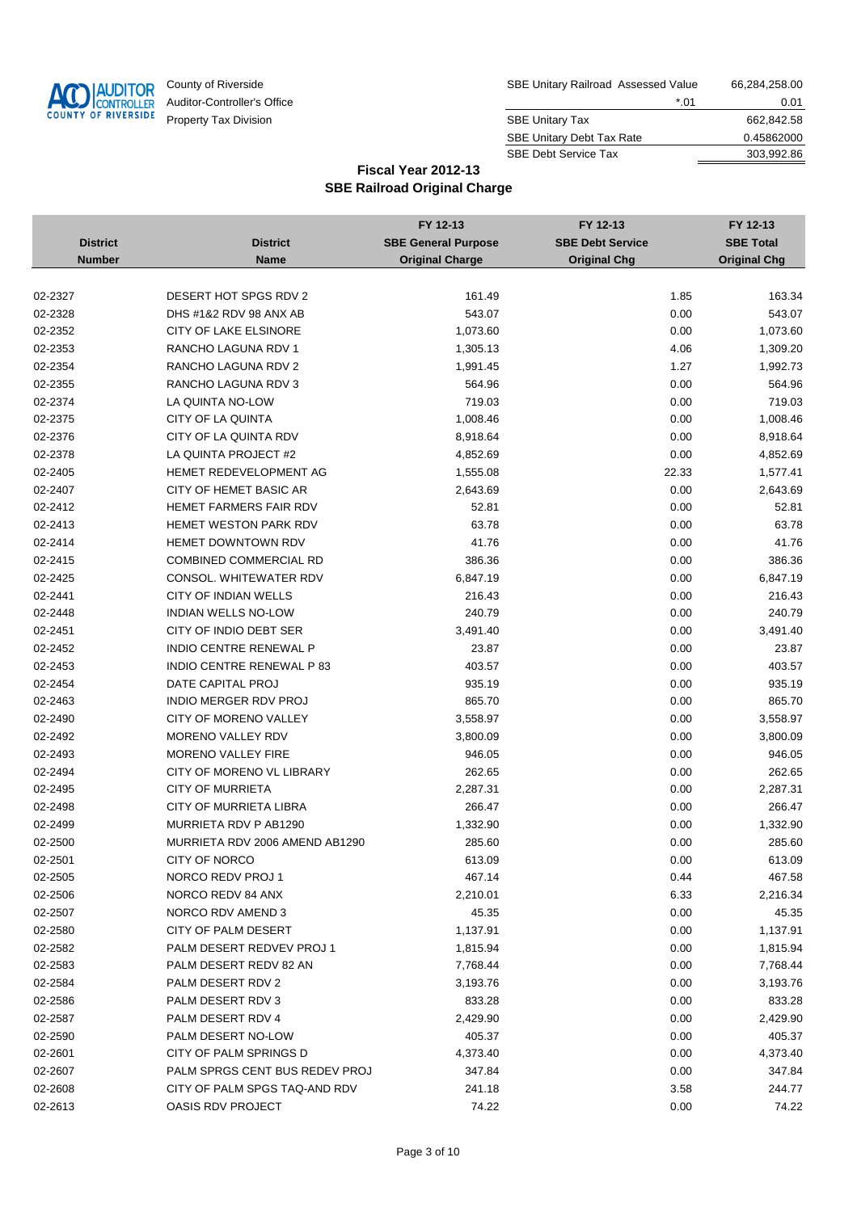

| County of Riverside         | SBE Unitary Railroad Assessed Value | 66,284,258.00 |
|-----------------------------|-------------------------------------|---------------|
| Auditor-Controller's Office | *.01                                | 0.01          |
| Property Tax Division       | <b>SBE Unitary Tax</b>              | 662.842.58    |
|                             | <b>SBE Unitary Debt Tax Rate</b>    | 0.45862000    |
|                             | <b>SBE Debt Service Tax</b>         | 303.992.86    |

|                 |                                | FY 12-13                   | FY 12-13                | FY 12-13            |
|-----------------|--------------------------------|----------------------------|-------------------------|---------------------|
| <b>District</b> | <b>District</b>                | <b>SBE General Purpose</b> | <b>SBE Debt Service</b> | <b>SBE Total</b>    |
| <b>Number</b>   | <b>Name</b>                    | <b>Original Charge</b>     | <b>Original Chg</b>     | <b>Original Chg</b> |
|                 |                                |                            |                         |                     |
| 02-2327         | DESERT HOT SPGS RDV 2          | 161.49                     | 1.85                    | 163.34              |
| 02-2328         | DHS #1&2 RDV 98 ANX AB         | 543.07                     | 0.00                    | 543.07              |
| 02-2352         | CITY OF LAKE ELSINORE          | 1,073.60                   | 0.00                    | 1,073.60            |
| 02-2353         | RANCHO LAGUNA RDV 1            | 1,305.13                   | 4.06                    | 1,309.20            |
| 02-2354         | RANCHO LAGUNA RDV 2            | 1,991.45                   | 1.27                    | 1,992.73            |
| 02-2355         | RANCHO LAGUNA RDV 3            | 564.96                     | 0.00                    | 564.96              |
| 02-2374         | LA QUINTA NO-LOW               | 719.03                     | 0.00                    | 719.03              |
| 02-2375         | CITY OF LA QUINTA              | 1,008.46                   | 0.00                    | 1,008.46            |
| 02-2376         | CITY OF LA QUINTA RDV          | 8,918.64                   | 0.00                    | 8,918.64            |
| 02-2378         | LA QUINTA PROJECT #2           | 4,852.69                   | 0.00                    | 4,852.69            |
| 02-2405         | HEMET REDEVELOPMENT AG         | 1,555.08                   | 22.33                   | 1,577.41            |
| 02-2407         | CITY OF HEMET BASIC AR         | 2,643.69                   | 0.00                    | 2,643.69            |
| 02-2412         | HEMET FARMERS FAIR RDV         | 52.81                      | 0.00                    | 52.81               |
| 02-2413         | HEMET WESTON PARK RDV          | 63.78                      | 0.00                    | 63.78               |
| 02-2414         | HEMET DOWNTOWN RDV             | 41.76                      | 0.00                    | 41.76               |
| 02-2415         | COMBINED COMMERCIAL RD         | 386.36                     | 0.00                    | 386.36              |
| 02-2425         | CONSOL. WHITEWATER RDV         | 6,847.19                   | 0.00                    | 6,847.19            |
| 02-2441         | <b>CITY OF INDIAN WELLS</b>    | 216.43                     | 0.00                    | 216.43              |
| 02-2448         | <b>INDIAN WELLS NO-LOW</b>     | 240.79                     | 0.00                    | 240.79              |
| 02-2451         | CITY OF INDIO DEBT SER         | 3,491.40                   | 0.00                    | 3,491.40            |
| 02-2452         | INDIO CENTRE RENEWAL P         | 23.87                      | 0.00                    | 23.87               |
| 02-2453         | INDIO CENTRE RENEWAL P 83      | 403.57                     | 0.00                    | 403.57              |
| 02-2454         | DATE CAPITAL PROJ              | 935.19                     | 0.00                    | 935.19              |
| 02-2463         | <b>INDIO MERGER RDV PROJ</b>   | 865.70                     | 0.00                    | 865.70              |
| 02-2490         | <b>CITY OF MORENO VALLEY</b>   | 3,558.97                   | 0.00                    | 3,558.97            |
| 02-2492         | MORENO VALLEY RDV              | 3,800.09                   | 0.00                    | 3,800.09            |
| 02-2493         | <b>MORENO VALLEY FIRE</b>      | 946.05                     | 0.00                    | 946.05              |
| 02-2494         | CITY OF MORENO VL LIBRARY      | 262.65                     | 0.00                    | 262.65              |
| 02-2495         | <b>CITY OF MURRIETA</b>        | 2,287.31                   | 0.00                    | 2,287.31            |
| 02-2498         | <b>CITY OF MURRIETA LIBRA</b>  | 266.47                     | 0.00                    | 266.47              |
| 02-2499         | MURRIETA RDV P AB1290          | 1,332.90                   | 0.00                    | 1,332.90            |
| 02-2500         | MURRIETA RDV 2006 AMEND AB1290 | 285.60                     | 0.00                    | 285.60              |
| 02-2501         | CITY OF NORCO                  | 613.09                     | 0.00                    | 613.09              |
| 02-2505         | NORCO REDV PROJ 1              | 467.14                     | 0.44                    | 467.58              |
| 02-2506         | NORCO REDV 84 ANX              | 2,210.01                   | 6.33                    | 2,216.34            |
| 02-2507         | NORCO RDV AMEND 3              | 45.35                      | 0.00                    | 45.35               |
| 02-2580         | CITY OF PALM DESERT            | 1,137.91                   | 0.00                    | 1,137.91            |
| 02-2582         | PALM DESERT REDVEV PROJ 1      | 1,815.94                   | 0.00                    | 1,815.94            |
| 02-2583         | PALM DESERT REDV 82 AN         | 7,768.44                   | 0.00                    | 7,768.44            |
| 02-2584         | PALM DESERT RDV 2              | 3,193.76                   | 0.00                    | 3,193.76            |
| 02-2586         | PALM DESERT RDV 3              | 833.28                     | 0.00                    | 833.28              |
| 02-2587         | PALM DESERT RDV 4              | 2,429.90                   | 0.00                    | 2,429.90            |
| 02-2590         | PALM DESERT NO-LOW             | 405.37                     | 0.00                    | 405.37              |
| 02-2601         | CITY OF PALM SPRINGS D         | 4,373.40                   | 0.00                    | 4,373.40            |
| 02-2607         | PALM SPRGS CENT BUS REDEV PROJ | 347.84                     | 0.00                    | 347.84              |
| 02-2608         | CITY OF PALM SPGS TAQ-AND RDV  | 241.18                     | 3.58                    | 244.77              |
| 02-2613         | OASIS RDV PROJECT              | 74.22                      | 0.00                    | 74.22               |
|                 |                                |                            |                         |                     |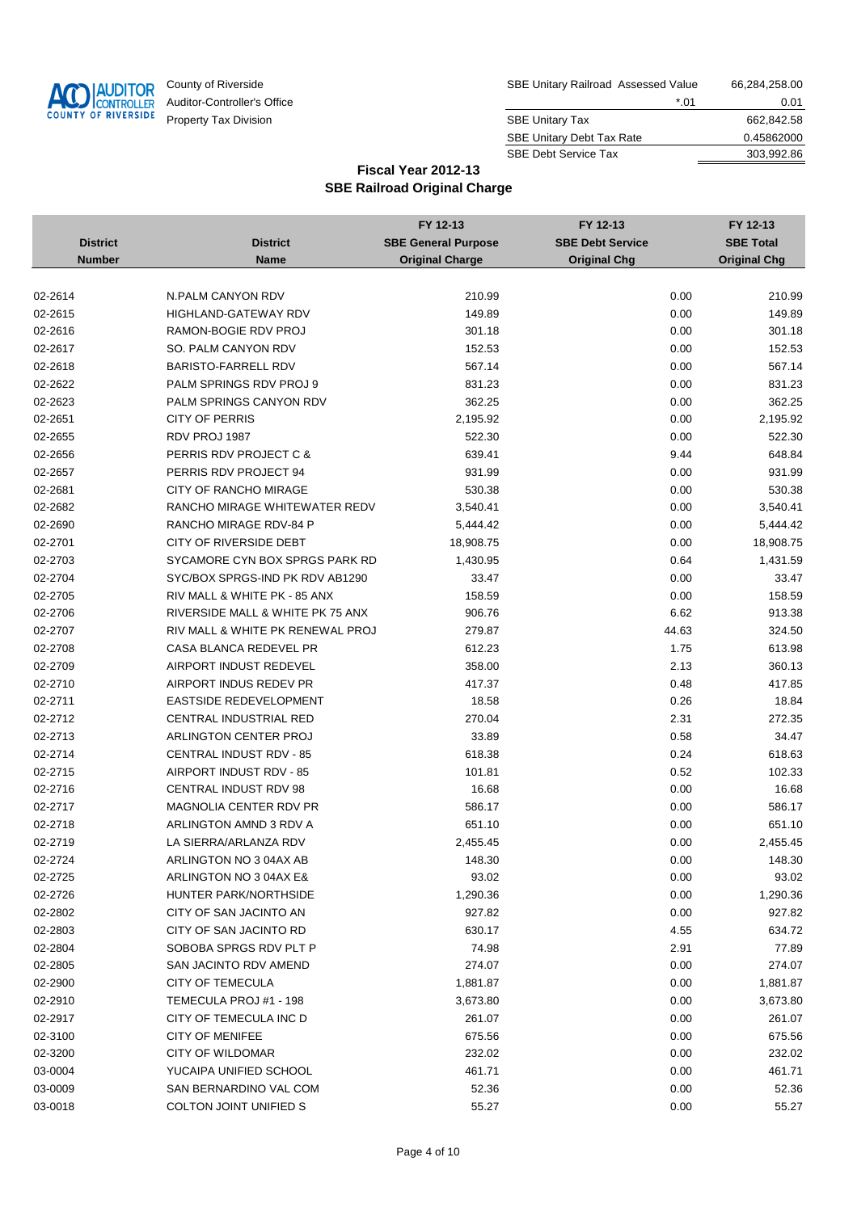

| County of Riverside         | SBE Unitary Railroad Assessed Value | 66,284,258.00 |
|-----------------------------|-------------------------------------|---------------|
| Auditor-Controller's Office | *.01                                | 0.01          |
| Property Tax Division       | <b>SBE Unitary Tax</b>              | 662,842.58    |
|                             | <b>SBE Unitary Debt Tax Rate</b>    | 0.45862000    |
|                             | <b>SBE Debt Service Tax</b>         | 303.992.86    |

|                 |                                  | FY 12-13                   | FY 12-13                | FY 12-13            |
|-----------------|----------------------------------|----------------------------|-------------------------|---------------------|
| <b>District</b> | <b>District</b>                  | <b>SBE General Purpose</b> | <b>SBE Debt Service</b> | <b>SBE Total</b>    |
| <b>Number</b>   | <b>Name</b>                      | <b>Original Charge</b>     | <b>Original Chg</b>     | <b>Original Chg</b> |
|                 |                                  |                            |                         |                     |
| 02-2614         | N.PALM CANYON RDV                | 210.99                     | 0.00                    | 210.99              |
| 02-2615         | <b>HIGHLAND-GATEWAY RDV</b>      | 149.89                     | 0.00                    | 149.89              |
| 02-2616         | RAMON-BOGIE RDV PROJ             | 301.18                     | 0.00                    | 301.18              |
| 02-2617         | SO. PALM CANYON RDV              | 152.53                     | 0.00                    | 152.53              |
| 02-2618         | <b>BARISTO-FARRELL RDV</b>       | 567.14                     | 0.00                    | 567.14              |
| 02-2622         | PALM SPRINGS RDV PROJ 9          | 831.23                     | 0.00                    | 831.23              |
| 02-2623         | PALM SPRINGS CANYON RDV          | 362.25                     | 0.00                    | 362.25              |
| 02-2651         | <b>CITY OF PERRIS</b>            | 2,195.92                   | 0.00                    | 2,195.92            |
| 02-2655         | RDV PROJ 1987                    | 522.30                     | 0.00                    | 522.30              |
| 02-2656         | PERRIS RDV PROJECT C &           | 639.41                     | 9.44                    | 648.84              |
| 02-2657         | PERRIS RDV PROJECT 94            | 931.99                     | 0.00                    | 931.99              |
| 02-2681         | CITY OF RANCHO MIRAGE            | 530.38                     | 0.00                    | 530.38              |
| 02-2682         | RANCHO MIRAGE WHITEWATER REDV    | 3,540.41                   | 0.00                    | 3,540.41            |
| 02-2690         | RANCHO MIRAGE RDV-84 P           | 5,444.42                   | 0.00                    | 5,444.42            |
| 02-2701         | CITY OF RIVERSIDE DEBT           | 18,908.75                  | 0.00                    | 18,908.75           |
| 02-2703         | SYCAMORE CYN BOX SPRGS PARK RD   | 1,430.95                   | 0.64                    | 1,431.59            |
| 02-2704         | SYC/BOX SPRGS-IND PK RDV AB1290  | 33.47                      | 0.00                    | 33.47               |
| 02-2705         | RIV MALL & WHITE PK - 85 ANX     | 158.59                     | 0.00                    | 158.59              |
| 02-2706         | RIVERSIDE MALL & WHITE PK 75 ANX | 906.76                     | 6.62                    | 913.38              |
| 02-2707         | RIV MALL & WHITE PK RENEWAL PROJ | 279.87                     | 44.63                   | 324.50              |
| 02-2708         | CASA BLANCA REDEVEL PR           | 612.23                     | 1.75                    | 613.98              |
| 02-2709         | AIRPORT INDUST REDEVEL           | 358.00                     | 2.13                    | 360.13              |
| 02-2710         | AIRPORT INDUS REDEV PR           | 417.37                     | 0.48                    | 417.85              |
| 02-2711         | EASTSIDE REDEVELOPMENT           | 18.58                      | 0.26                    | 18.84               |
| 02-2712         | CENTRAL INDUSTRIAL RED           | 270.04                     | 2.31                    | 272.35              |
| 02-2713         | ARLINGTON CENTER PROJ            | 33.89                      | 0.58                    | 34.47               |
| 02-2714         | <b>CENTRAL INDUST RDV - 85</b>   | 618.38                     | 0.24                    | 618.63              |
| 02-2715         | AIRPORT INDUST RDV - 85          | 101.81                     | 0.52                    | 102.33              |
| 02-2716         | <b>CENTRAL INDUST RDV 98</b>     | 16.68                      | 0.00                    | 16.68               |
| 02-2717         | MAGNOLIA CENTER RDV PR           | 586.17                     | 0.00                    | 586.17              |
| 02-2718         | ARLINGTON AMND 3 RDV A           | 651.10                     | 0.00                    | 651.10              |
| 02-2719         | LA SIERRA/ARLANZA RDV            | 2,455.45                   | 0.00                    | 2,455.45            |
| 02-2724         | ARLINGTON NO 3 04AX AB           | 148.30                     | 0.00                    | 148.30              |
| 02-2725         | ARLINGTON NO 3 04AX E&           | 93.02                      | 0.00                    | 93.02               |
| 02-2726         | HUNTER PARK/NORTHSIDE            | 1,290.36                   | 0.00                    | 1,290.36            |
| 02-2802         | CITY OF SAN JACINTO AN           | 927.82                     | 0.00                    | 927.82              |
| 02-2803         | CITY OF SAN JACINTO RD           | 630.17                     | 4.55                    | 634.72              |
| 02-2804         | SOBOBA SPRGS RDV PLT P           | 74.98                      | 2.91                    | 77.89               |
| 02-2805         | SAN JACINTO RDV AMEND            | 274.07                     | 0.00                    | 274.07              |
| 02-2900         | <b>CITY OF TEMECULA</b>          | 1,881.87                   | 0.00                    | 1,881.87            |
| 02-2910         | TEMECULA PROJ #1 - 198           | 3,673.80                   | 0.00                    | 3,673.80            |
| 02-2917         | CITY OF TEMECULA INC D           | 261.07                     | 0.00                    | 261.07              |
| 02-3100         | <b>CITY OF MENIFEE</b>           | 675.56                     | 0.00                    | 675.56              |
| 02-3200         | CITY OF WILDOMAR                 | 232.02                     | 0.00                    | 232.02              |
| 03-0004         | YUCAIPA UNIFIED SCHOOL           | 461.71                     | 0.00                    | 461.71              |
| 03-0009         | SAN BERNARDINO VAL COM           | 52.36                      | 0.00                    | 52.36               |
| 03-0018         | COLTON JOINT UNIFIED S           | 55.27                      | 0.00                    | 55.27               |
|                 |                                  |                            |                         |                     |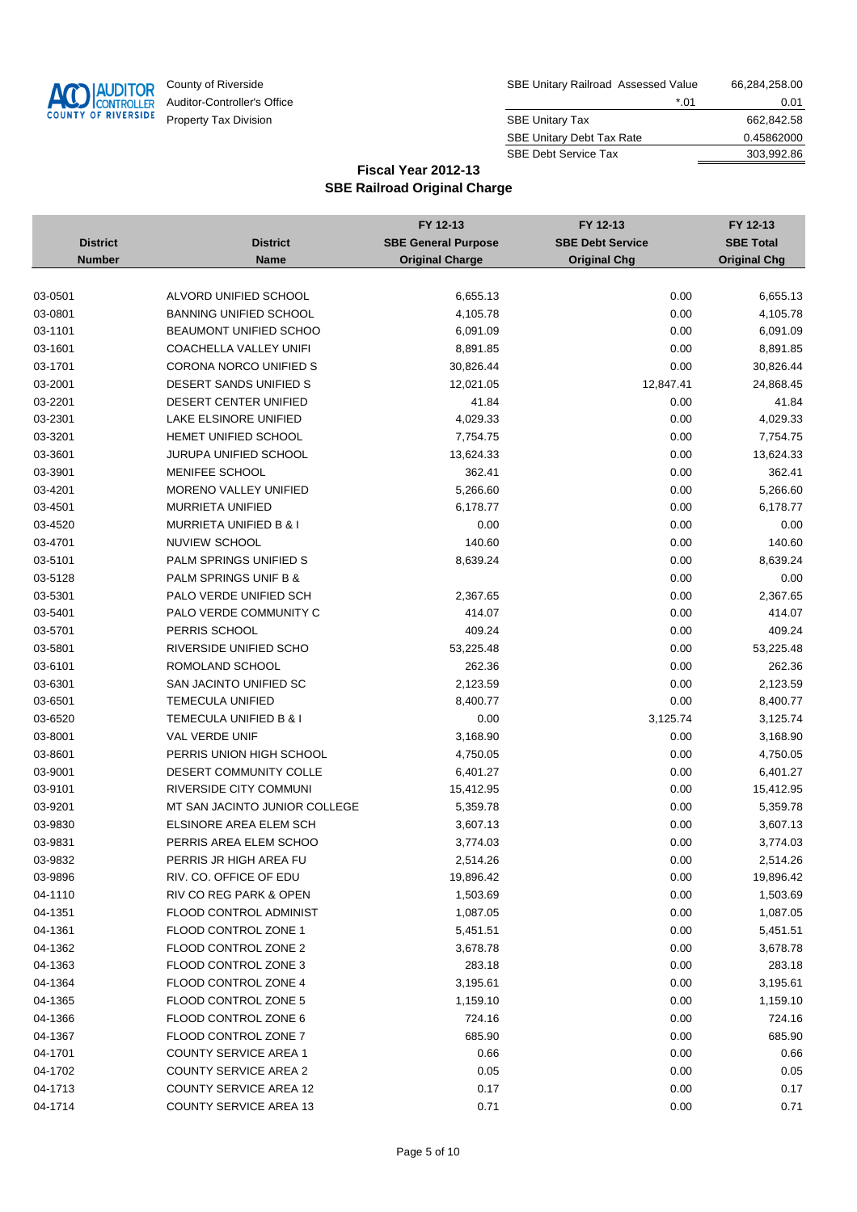

| County of Riverside         | SBE Unitary Railroad Assessed Value | 66,284,258.00 |
|-----------------------------|-------------------------------------|---------------|
| Auditor-Controller's Office | *.01                                | 0.01          |
| Property Tax Division       | <b>SBE Unitary Tax</b>              | 662.842.58    |
|                             | <b>SBE Unitary Debt Tax Rate</b>    | 0.45862000    |
|                             | <b>SBE Debt Service Tax</b>         | 303.992.86    |

|                 |                                   | FY 12-13                   | FY 12-13                | FY 12-13            |
|-----------------|-----------------------------------|----------------------------|-------------------------|---------------------|
| <b>District</b> | <b>District</b>                   | <b>SBE General Purpose</b> | <b>SBE Debt Service</b> | <b>SBE Total</b>    |
| <b>Number</b>   | <b>Name</b>                       | <b>Original Charge</b>     | <b>Original Chg</b>     | <b>Original Chg</b> |
|                 |                                   |                            |                         |                     |
| 03-0501         | ALVORD UNIFIED SCHOOL             | 6,655.13                   | 0.00                    | 6,655.13            |
| 03-0801         | <b>BANNING UNIFIED SCHOOL</b>     | 4,105.78                   | 0.00                    | 4,105.78            |
| 03-1101         | <b>BEAUMONT UNIFIED SCHOO</b>     | 6,091.09                   | 0.00                    | 6,091.09            |
| 03-1601         | COACHELLA VALLEY UNIFI            | 8,891.85                   | 0.00                    | 8,891.85            |
| 03-1701         | CORONA NORCO UNIFIED S            | 30,826.44                  | 0.00                    | 30,826.44           |
| 03-2001         | DESERT SANDS UNIFIED S            | 12,021.05                  | 12,847.41               | 24,868.45           |
| 03-2201         | DESERT CENTER UNIFIED             | 41.84                      | 0.00                    | 41.84               |
| 03-2301         | LAKE ELSINORE UNIFIED             | 4,029.33                   | 0.00                    | 4,029.33            |
| 03-3201         | HEMET UNIFIED SCHOOL              | 7,754.75                   | 0.00                    | 7,754.75            |
| 03-3601         | JURUPA UNIFIED SCHOOL             | 13,624.33                  | 0.00                    | 13,624.33           |
| 03-3901         | MENIFEE SCHOOL                    | 362.41                     | 0.00                    | 362.41              |
| 03-4201         | MORENO VALLEY UNIFIED             | 5,266.60                   | 0.00                    | 5,266.60            |
| 03-4501         | <b>MURRIETA UNIFIED</b>           | 6,178.77                   | 0.00                    | 6,178.77            |
| 03-4520         | <b>MURRIETA UNIFIED B &amp; I</b> | 0.00                       | 0.00                    | 0.00                |
| 03-4701         | NUVIEW SCHOOL                     | 140.60                     | 0.00                    | 140.60              |
| 03-5101         | PALM SPRINGS UNIFIED S            | 8,639.24                   | 0.00                    | 8,639.24            |
| 03-5128         | PALM SPRINGS UNIF B &             |                            | 0.00                    | 0.00                |
| 03-5301         | PALO VERDE UNIFIED SCH            | 2,367.65                   | 0.00                    | 2,367.65            |
| 03-5401         | PALO VERDE COMMUNITY C            | 414.07                     | 0.00                    | 414.07              |
| 03-5701         | PERRIS SCHOOL                     | 409.24                     | 0.00                    | 409.24              |
| 03-5801         | RIVERSIDE UNIFIED SCHO            | 53,225.48                  | 0.00                    | 53,225.48           |
| 03-6101         | ROMOLAND SCHOOL                   | 262.36                     | 0.00                    | 262.36              |
| 03-6301         | SAN JACINTO UNIFIED SC            | 2,123.59                   | 0.00                    | 2,123.59            |
| 03-6501         | <b>TEMECULA UNIFIED</b>           | 8,400.77                   | 0.00                    | 8,400.77            |
| 03-6520         | TEMECULA UNIFIED B & I            | 0.00                       | 3,125.74                | 3,125.74            |
| 03-8001         | VAL VERDE UNIF                    | 3,168.90                   | 0.00                    | 3,168.90            |
| 03-8601         | PERRIS UNION HIGH SCHOOL          | 4,750.05                   | 0.00                    | 4,750.05            |
| 03-9001         | <b>DESERT COMMUNITY COLLE</b>     | 6,401.27                   | 0.00                    | 6,401.27            |
| 03-9101         | RIVERSIDE CITY COMMUNI            | 15,412.95                  | 0.00                    | 15,412.95           |
| 03-9201         | MT SAN JACINTO JUNIOR COLLEGE     | 5,359.78                   | 0.00                    | 5,359.78            |
| 03-9830         | ELSINORE AREA ELEM SCH            | 3,607.13                   | 0.00                    | 3,607.13            |
| 03-9831         | PERRIS AREA ELEM SCHOO            | 3,774.03                   | 0.00                    | 3,774.03            |
| 03-9832         | PERRIS JR HIGH AREA FU            | 2,514.26                   | 0.00                    | 2,514.26            |
| 03-9896         | RIV. CO. OFFICE OF EDU            | 19,896.42                  | 0.00                    | 19,896.42           |
| 04-1110         | RIV CO REG PARK & OPEN            | 1,503.69                   | 0.00                    | 1,503.69            |
| 04-1351         | <b>FLOOD CONTROL ADMINIST</b>     | 1,087.05                   | 0.00                    | 1,087.05            |
| 04-1361         | FLOOD CONTROL ZONE 1              | 5,451.51                   | 0.00                    | 5,451.51            |
| 04-1362         | FLOOD CONTROL ZONE 2              | 3,678.78                   | 0.00                    | 3,678.78            |
| 04-1363         | FLOOD CONTROL ZONE 3              | 283.18                     | 0.00                    | 283.18              |
| 04-1364         | FLOOD CONTROL ZONE 4              | 3,195.61                   | 0.00                    | 3,195.61            |
| 04-1365         | FLOOD CONTROL ZONE 5              | 1,159.10                   | 0.00                    | 1,159.10            |
| 04-1366         | FLOOD CONTROL ZONE 6              | 724.16                     | 0.00                    | 724.16              |
| 04-1367         | FLOOD CONTROL ZONE 7              | 685.90                     | 0.00                    | 685.90              |
| 04-1701         | <b>COUNTY SERVICE AREA 1</b>      | 0.66                       | 0.00                    | 0.66                |
| 04-1702         | <b>COUNTY SERVICE AREA 2</b>      | 0.05                       | 0.00                    | 0.05                |
| 04-1713         | <b>COUNTY SERVICE AREA 12</b>     | 0.17                       | 0.00                    | 0.17                |
| 04-1714         | <b>COUNTY SERVICE AREA 13</b>     | 0.71                       | 0.00                    | 0.71                |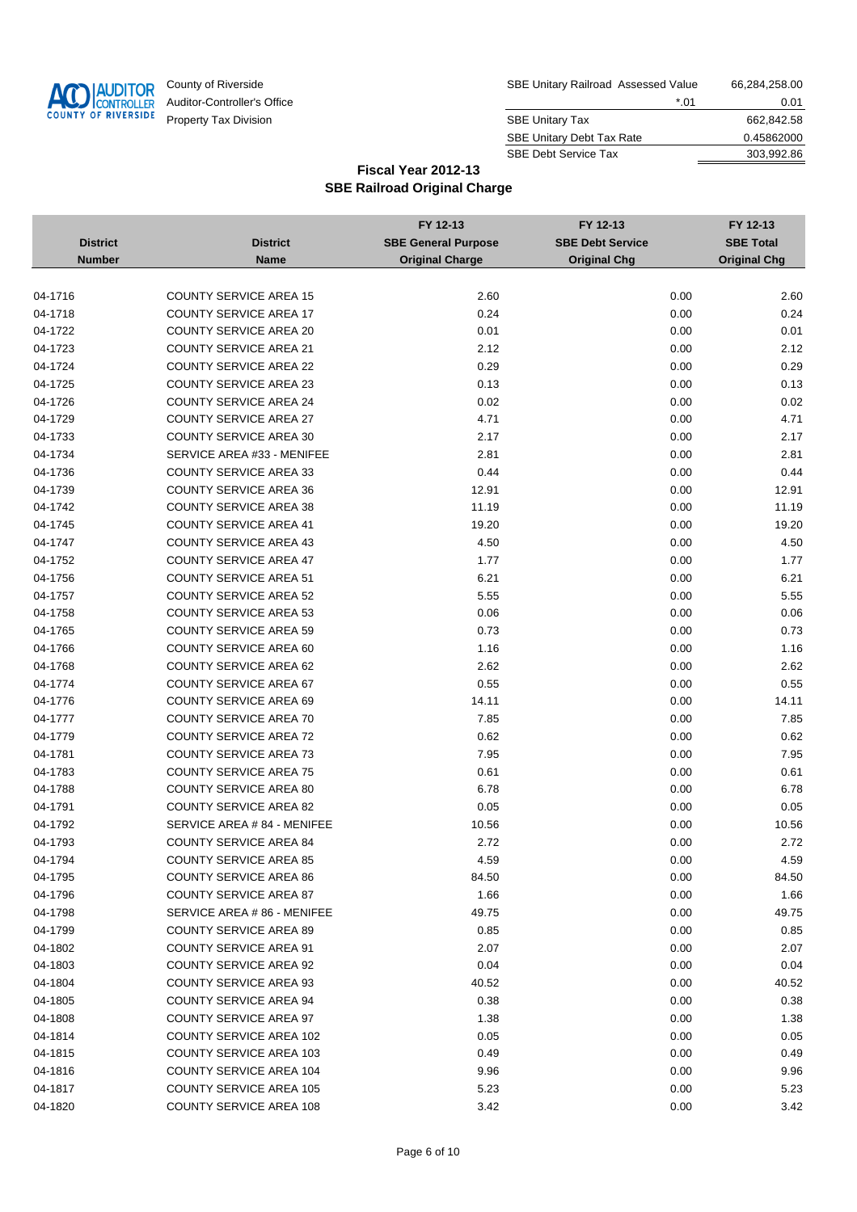

| County of Riverside         | SBE Unitary Railroad Assessed Value | 66,284,258.00 |
|-----------------------------|-------------------------------------|---------------|
| Auditor-Controller's Office | *.01                                | 0.01          |
| Property Tax Division       | <b>SBE Unitary Tax</b>              | 662.842.58    |
|                             | <b>SBE Unitary Debt Tax Rate</b>    | 0.45862000    |
|                             | <b>SBE Debt Service Tax</b>         | 303.992.86    |

|                 |                                | FY 12-13                   | FY 12-13                | FY 12-13            |
|-----------------|--------------------------------|----------------------------|-------------------------|---------------------|
| <b>District</b> | <b>District</b>                | <b>SBE General Purpose</b> | <b>SBE Debt Service</b> | <b>SBE Total</b>    |
| <b>Number</b>   | <b>Name</b>                    | <b>Original Charge</b>     | <b>Original Chg</b>     | <b>Original Chg</b> |
|                 |                                |                            |                         |                     |
| 04-1716         | <b>COUNTY SERVICE AREA 15</b>  | 2.60                       | 0.00                    | 2.60                |
| 04-1718         | <b>COUNTY SERVICE AREA 17</b>  | 0.24                       | 0.00                    | 0.24                |
| 04-1722         | <b>COUNTY SERVICE AREA 20</b>  | 0.01                       | 0.00                    | 0.01                |
| 04-1723         | <b>COUNTY SERVICE AREA 21</b>  | 2.12                       | 0.00                    | 2.12                |
| 04-1724         | <b>COUNTY SERVICE AREA 22</b>  | 0.29                       | 0.00                    | 0.29                |
| 04-1725         | <b>COUNTY SERVICE AREA 23</b>  | 0.13                       | 0.00                    | 0.13                |
| 04-1726         | <b>COUNTY SERVICE AREA 24</b>  | 0.02                       | 0.00                    | 0.02                |
| 04-1729         | <b>COUNTY SERVICE AREA 27</b>  | 4.71                       | 0.00                    | 4.71                |
| 04-1733         | <b>COUNTY SERVICE AREA 30</b>  | 2.17                       | 0.00                    | 2.17                |
| 04-1734         | SERVICE AREA #33 - MENIFEE     | 2.81                       | 0.00                    | 2.81                |
| 04-1736         | <b>COUNTY SERVICE AREA 33</b>  | 0.44                       | 0.00                    | 0.44                |
| 04-1739         | <b>COUNTY SERVICE AREA 36</b>  | 12.91                      | 0.00                    | 12.91               |
| 04-1742         | <b>COUNTY SERVICE AREA 38</b>  | 11.19                      | 0.00                    | 11.19               |
| 04-1745         | <b>COUNTY SERVICE AREA 41</b>  | 19.20                      | 0.00                    | 19.20               |
| 04-1747         | <b>COUNTY SERVICE AREA 43</b>  | 4.50                       | 0.00                    | 4.50                |
| 04-1752         | <b>COUNTY SERVICE AREA 47</b>  | 1.77                       | 0.00                    | 1.77                |
| 04-1756         | <b>COUNTY SERVICE AREA 51</b>  | 6.21                       | 0.00                    | 6.21                |
| 04-1757         | <b>COUNTY SERVICE AREA 52</b>  | 5.55                       | 0.00                    | 5.55                |
| 04-1758         | <b>COUNTY SERVICE AREA 53</b>  | 0.06                       | 0.00                    | 0.06                |
| 04-1765         | <b>COUNTY SERVICE AREA 59</b>  | 0.73                       | 0.00                    | 0.73                |
| 04-1766         | <b>COUNTY SERVICE AREA 60</b>  | 1.16                       | 0.00                    | 1.16                |
| 04-1768         | <b>COUNTY SERVICE AREA 62</b>  | 2.62                       | 0.00                    | 2.62                |
| 04-1774         | <b>COUNTY SERVICE AREA 67</b>  | 0.55                       | 0.00                    | 0.55                |
| 04-1776         | <b>COUNTY SERVICE AREA 69</b>  | 14.11                      | 0.00                    | 14.11               |
| 04-1777         | <b>COUNTY SERVICE AREA 70</b>  | 7.85                       | 0.00                    | 7.85                |
| 04-1779         | <b>COUNTY SERVICE AREA 72</b>  | 0.62                       | 0.00                    | 0.62                |
| 04-1781         | <b>COUNTY SERVICE AREA 73</b>  | 7.95                       | 0.00                    | 7.95                |
| 04-1783         | <b>COUNTY SERVICE AREA 75</b>  | 0.61                       | 0.00                    | 0.61                |
| 04-1788         | <b>COUNTY SERVICE AREA 80</b>  | 6.78                       | 0.00                    | 6.78                |
| 04-1791         | <b>COUNTY SERVICE AREA 82</b>  | 0.05                       | 0.00                    | 0.05                |
| 04-1792         | SERVICE AREA # 84 - MENIFEE    | 10.56                      | 0.00                    | 10.56               |
| 04-1793         | <b>COUNTY SERVICE AREA 84</b>  | 2.72                       | 0.00                    | 2.72                |
| 04-1794         | <b>COUNTY SERVICE AREA 85</b>  | 4.59                       | 0.00                    | 4.59                |
| 04-1795         | <b>COUNTY SERVICE AREA 86</b>  | 84.50                      | 0.00                    | 84.50               |
| 04-1796         | <b>COUNTY SERVICE AREA 87</b>  | 1.66                       | 0.00                    | 1.66                |
| 04-1798         | SERVICE AREA # 86 - MENIFEE    | 49.75                      | 0.00                    | 49.75               |
| 04-1799         | <b>COUNTY SERVICE AREA 89</b>  | 0.85                       | 0.00                    | 0.85                |
| 04-1802         | <b>COUNTY SERVICE AREA 91</b>  | 2.07                       | 0.00                    | 2.07                |
| 04-1803         | <b>COUNTY SERVICE AREA 92</b>  | 0.04                       | 0.00                    | 0.04                |
| 04-1804         | <b>COUNTY SERVICE AREA 93</b>  | 40.52                      | 0.00                    | 40.52               |
| 04-1805         | <b>COUNTY SERVICE AREA 94</b>  | 0.38                       | 0.00                    | 0.38                |
| 04-1808         | <b>COUNTY SERVICE AREA 97</b>  | 1.38                       | 0.00                    | 1.38                |
| 04-1814         | COUNTY SERVICE AREA 102        | 0.05                       | 0.00                    | 0.05                |
| 04-1815         | <b>COUNTY SERVICE AREA 103</b> | 0.49                       | 0.00                    | 0.49                |
| 04-1816         | <b>COUNTY SERVICE AREA 104</b> | 9.96                       | 0.00                    | 9.96                |
| 04-1817         | <b>COUNTY SERVICE AREA 105</b> | 5.23                       | 0.00                    | 5.23                |
| 04-1820         | <b>COUNTY SERVICE AREA 108</b> | 3.42                       | 0.00                    | 3.42                |
|                 |                                |                            |                         |                     |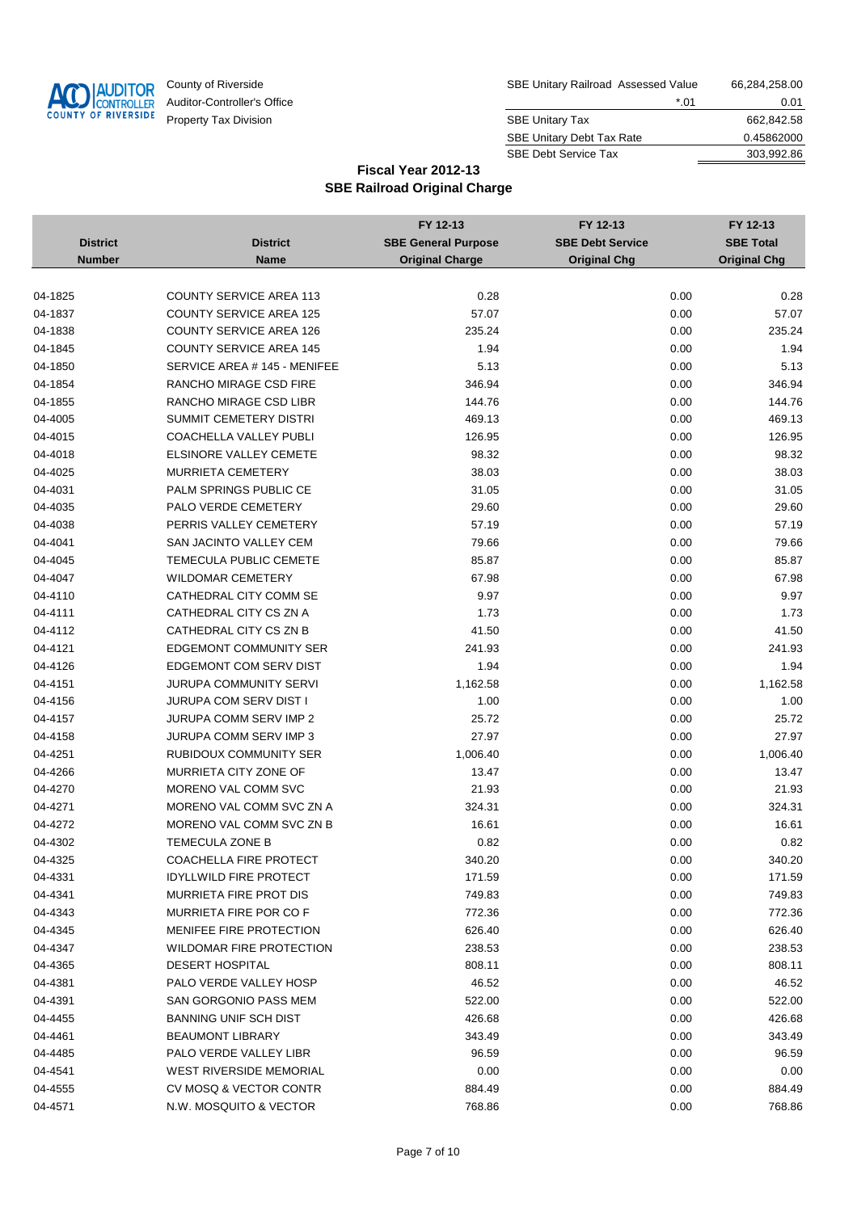

| County of Riverside         | SBE Unitary Railroad Assessed Value | 66,284,258.00 |
|-----------------------------|-------------------------------------|---------------|
| Auditor-Controller's Office | *.01                                | 0.01          |
| Property Tax Division       | <b>SBE Unitary Tax</b>              | 662,842.58    |
|                             | <b>SBE Unitary Debt Tax Rate</b>    | 0.45862000    |
|                             | <b>SBE Debt Service Tax</b>         | 303.992.86    |

|                 |                                | FY 12-13                   | FY 12-13                | FY 12-13            |
|-----------------|--------------------------------|----------------------------|-------------------------|---------------------|
| <b>District</b> | <b>District</b>                | <b>SBE General Purpose</b> | <b>SBE Debt Service</b> | <b>SBE Total</b>    |
| <b>Number</b>   | <b>Name</b>                    | <b>Original Charge</b>     | <b>Original Chg</b>     | <b>Original Chg</b> |
|                 |                                |                            |                         |                     |
| 04-1825         | <b>COUNTY SERVICE AREA 113</b> | 0.28                       | 0.00                    | 0.28                |
| 04-1837         | <b>COUNTY SERVICE AREA 125</b> | 57.07                      | 0.00                    | 57.07               |
| 04-1838         | <b>COUNTY SERVICE AREA 126</b> | 235.24                     | 0.00                    | 235.24              |
| 04-1845         | <b>COUNTY SERVICE AREA 145</b> | 1.94                       | 0.00                    | 1.94                |
| 04-1850         | SERVICE AREA # 145 - MENIFEE   | 5.13                       | 0.00                    | 5.13                |
| 04-1854         | RANCHO MIRAGE CSD FIRE         | 346.94                     | 0.00                    | 346.94              |
| 04-1855         | RANCHO MIRAGE CSD LIBR         | 144.76                     | 0.00                    | 144.76              |
| 04-4005         | <b>SUMMIT CEMETERY DISTRI</b>  | 469.13                     | 0.00                    | 469.13              |
| 04-4015         | COACHELLA VALLEY PUBLI         | 126.95                     | 0.00                    | 126.95              |
| 04-4018         | <b>ELSINORE VALLEY CEMETE</b>  | 98.32                      | 0.00                    | 98.32               |
| 04-4025         | <b>MURRIETA CEMETERY</b>       | 38.03                      | 0.00                    | 38.03               |
| 04-4031         | PALM SPRINGS PUBLIC CE         | 31.05                      | 0.00                    | 31.05               |
| 04-4035         | PALO VERDE CEMETERY            | 29.60                      | 0.00                    | 29.60               |
| 04-4038         | PERRIS VALLEY CEMETERY         | 57.19                      | 0.00                    | 57.19               |
| 04-4041         | SAN JACINTO VALLEY CEM         | 79.66                      | 0.00                    | 79.66               |
| 04-4045         | TEMECULA PUBLIC CEMETE         | 85.87                      | 0.00                    | 85.87               |
| 04-4047         | <b>WILDOMAR CEMETERY</b>       | 67.98                      | 0.00                    | 67.98               |
| 04-4110         | CATHEDRAL CITY COMM SE         | 9.97                       | 0.00                    | 9.97                |
| 04-4111         | CATHEDRAL CITY CS ZN A         | 1.73                       | 0.00                    | 1.73                |
| 04-4112         | CATHEDRAL CITY CS ZN B         | 41.50                      | 0.00                    | 41.50               |
| 04-4121         | <b>EDGEMONT COMMUNITY SER</b>  | 241.93                     | 0.00                    | 241.93              |
| 04-4126         | EDGEMONT COM SERV DIST         | 1.94                       | 0.00                    | 1.94                |
| 04-4151         | JURUPA COMMUNITY SERVI         | 1,162.58                   | 0.00                    | 1,162.58            |
| 04-4156         | JURUPA COM SERV DIST I         | 1.00                       | 0.00                    | 1.00                |
| 04-4157         | JURUPA COMM SERV IMP 2         | 25.72                      | 0.00                    | 25.72               |
| 04-4158         | JURUPA COMM SERV IMP 3         | 27.97                      | 0.00                    | 27.97               |
| 04-4251         | <b>RUBIDOUX COMMUNITY SER</b>  | 1,006.40                   | 0.00                    | 1,006.40            |
| 04-4266         | MURRIETA CITY ZONE OF          | 13.47                      | 0.00                    | 13.47               |
| 04-4270         | MORENO VAL COMM SVC            | 21.93                      | 0.00                    | 21.93               |
| 04-4271         | MORENO VAL COMM SVC ZN A       | 324.31                     | 0.00                    | 324.31              |
| 04-4272         | MORENO VAL COMM SVC ZN B       | 16.61                      | 0.00                    | 16.61               |
| 04-4302         | <b>TEMECULA ZONE B</b>         | 0.82                       | 0.00                    | 0.82                |
| 04-4325         | COACHELLA FIRE PROTECT         | 340.20                     | 0.00                    | 340.20              |
| 04-4331         | <b>IDYLLWILD FIRE PROTECT</b>  | 171.59                     | 0.00                    | 171.59              |
| 04-4341         | MURRIETA FIRE PROT DIS         | 749.83                     | 0.00                    | 749.83              |
| 04-4343         | MURRIETA FIRE POR CO F         | 772.36                     | 0.00                    | 772.36              |
| 04-4345         | MENIFEE FIRE PROTECTION        | 626.40                     | 0.00                    | 626.40              |
| 04-4347         | WILDOMAR FIRE PROTECTION       | 238.53                     | 0.00                    | 238.53              |
| 04-4365         | <b>DESERT HOSPITAL</b>         | 808.11                     | 0.00                    | 808.11              |
| 04-4381         | PALO VERDE VALLEY HOSP         | 46.52                      | 0.00                    | 46.52               |
| 04-4391         | SAN GORGONIO PASS MEM          | 522.00                     | 0.00                    | 522.00              |
| 04-4455         | <b>BANNING UNIF SCH DIST</b>   | 426.68                     | 0.00                    | 426.68              |
| 04-4461         | <b>BEAUMONT LIBRARY</b>        | 343.49                     | 0.00                    | 343.49              |
| 04-4485         | PALO VERDE VALLEY LIBR         | 96.59                      | 0.00                    | 96.59               |
| 04-4541         | <b>WEST RIVERSIDE MEMORIAL</b> | 0.00                       | 0.00                    | 0.00                |
| 04-4555         | CV MOSQ & VECTOR CONTR         | 884.49                     | 0.00                    | 884.49              |
| 04-4571         | N.W. MOSQUITO & VECTOR         | 768.86                     | 0.00                    | 768.86              |
|                 |                                |                            |                         |                     |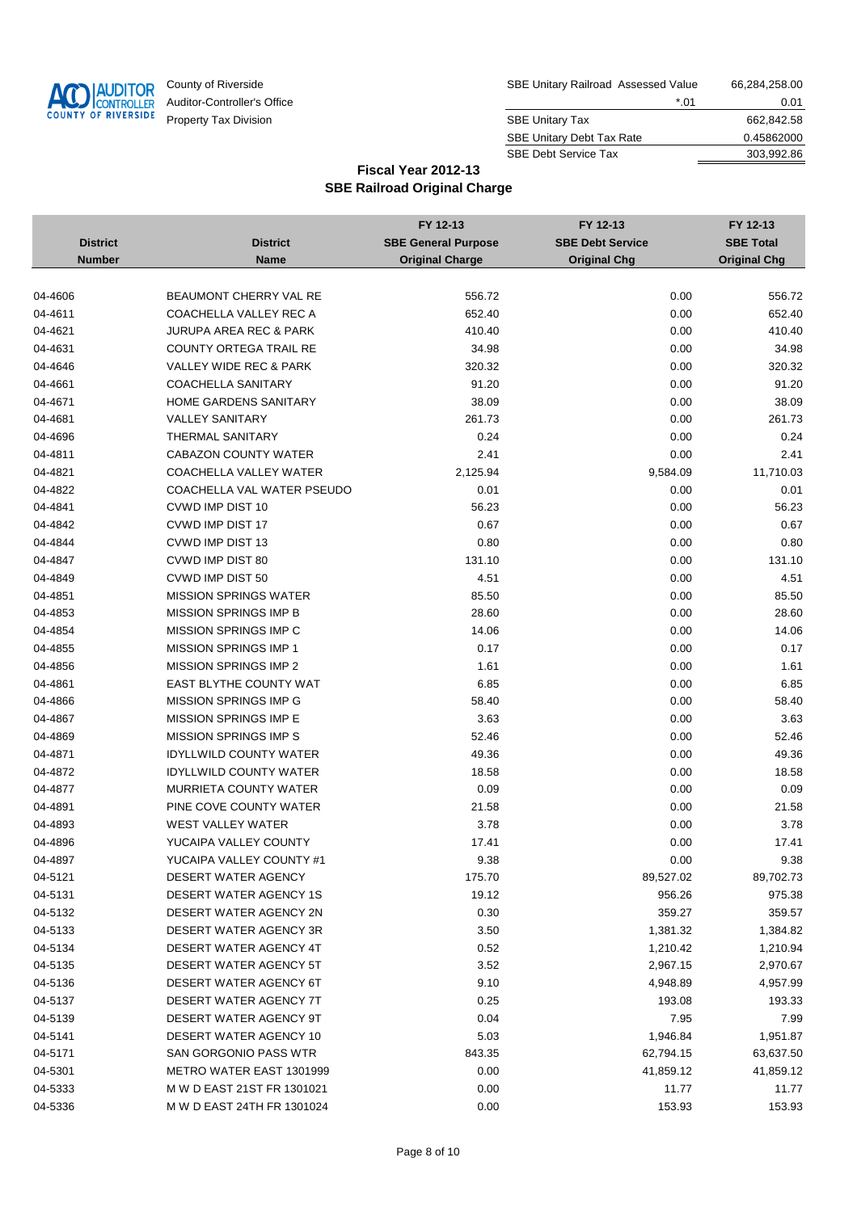

| County of Riverside         | SBE Unitary Railroad Assessed Value | 66,284,258.00 |
|-----------------------------|-------------------------------------|---------------|
| Auditor-Controller's Office | *.01                                | 0.01          |
| Property Tax Division       | <b>SBE Unitary Tax</b>              | 662.842.58    |
|                             | <b>SBE Unitary Debt Tax Rate</b>    | 0.45862000    |
|                             | <b>SBE Debt Service Tax</b>         | 303.992.86    |

|                 |                                   | FY 12-13                   | FY 12-13                | FY 12-13            |
|-----------------|-----------------------------------|----------------------------|-------------------------|---------------------|
| <b>District</b> | <b>District</b>                   | <b>SBE General Purpose</b> | <b>SBE Debt Service</b> | <b>SBE Total</b>    |
| <b>Number</b>   | <b>Name</b>                       | <b>Original Charge</b>     | <b>Original Chg</b>     | <b>Original Chg</b> |
|                 |                                   |                            |                         |                     |
| 04-4606         | <b>BEAUMONT CHERRY VAL RE</b>     | 556.72                     | 0.00                    | 556.72              |
| 04-4611         | COACHELLA VALLEY REC A            | 652.40                     | 0.00                    | 652.40              |
| 04-4621         | JURUPA AREA REC & PARK            | 410.40                     | 0.00                    | 410.40              |
| 04-4631         | <b>COUNTY ORTEGA TRAIL RE</b>     | 34.98                      | 0.00                    | 34.98               |
| 04-4646         | <b>VALLEY WIDE REC &amp; PARK</b> | 320.32                     | 0.00                    | 320.32              |
| 04-4661         | <b>COACHELLA SANITARY</b>         | 91.20                      | 0.00                    | 91.20               |
| 04-4671         | <b>HOME GARDENS SANITARY</b>      | 38.09                      | 0.00                    | 38.09               |
| 04-4681         | <b>VALLEY SANITARY</b>            | 261.73                     | 0.00                    | 261.73              |
| 04-4696         | THERMAL SANITARY                  | 0.24                       | 0.00                    | 0.24                |
| 04-4811         | <b>CABAZON COUNTY WATER</b>       | 2.41                       | 0.00                    | 2.41                |
| 04-4821         | COACHELLA VALLEY WATER            | 2,125.94                   | 9,584.09                | 11,710.03           |
| 04-4822         | COACHELLA VAL WATER PSEUDO        | 0.01                       | 0.00                    | 0.01                |
| 04-4841         | CVWD IMP DIST 10                  | 56.23                      | 0.00                    | 56.23               |
| 04-4842         | <b>CVWD IMP DIST 17</b>           | 0.67                       | 0.00                    | 0.67                |
| 04-4844         | <b>CVWD IMP DIST 13</b>           | 0.80                       | 0.00                    | 0.80                |
| 04-4847         | CVWD IMP DIST 80                  | 131.10                     | 0.00                    | 131.10              |
| 04-4849         | CVWD IMP DIST 50                  | 4.51                       | 0.00                    | 4.51                |
| 04-4851         | <b>MISSION SPRINGS WATER</b>      | 85.50                      | 0.00                    | 85.50               |
| 04-4853         | <b>MISSION SPRINGS IMP B</b>      | 28.60                      | 0.00                    | 28.60               |
| 04-4854         | MISSION SPRINGS IMP C             | 14.06                      | 0.00                    | 14.06               |
| 04-4855         | <b>MISSION SPRINGS IMP 1</b>      | 0.17                       | 0.00                    | 0.17                |
| 04-4856         | <b>MISSION SPRINGS IMP 2</b>      | 1.61                       | 0.00                    | 1.61                |
| 04-4861         | EAST BLYTHE COUNTY WAT            | 6.85                       | 0.00                    | 6.85                |
| 04-4866         | <b>MISSION SPRINGS IMP G</b>      | 58.40                      | 0.00                    | 58.40               |
| 04-4867         | <b>MISSION SPRINGS IMP E</b>      | 3.63                       | 0.00                    | 3.63                |
| 04-4869         | <b>MISSION SPRINGS IMP S</b>      | 52.46                      | 0.00                    | 52.46               |
| 04-4871         | <b>IDYLLWILD COUNTY WATER</b>     | 49.36                      | 0.00                    | 49.36               |
| 04-4872         | <b>IDYLLWILD COUNTY WATER</b>     | 18.58                      | 0.00                    | 18.58               |
| 04-4877         | MURRIETA COUNTY WATER             | 0.09                       | 0.00                    | 0.09                |
| 04-4891         | PINE COVE COUNTY WATER            | 21.58                      | 0.00                    | 21.58               |
| 04-4893         | WEST VALLEY WATER                 | 3.78                       | 0.00                    | 3.78                |
| 04-4896         | YUCAIPA VALLEY COUNTY             | 17.41                      | 0.00                    | 17.41               |
| 04-4897         | YUCAIPA VALLEY COUNTY #1          | 9.38                       | 0.00                    | 9.38                |
| 04-5121         | DESERT WATER AGENCY               | 175.70                     | 89,527.02               | 89,702.73           |
| 04-5131         | DESERT WATER AGENCY 1S            | 19.12                      | 956.26                  | 975.38              |
| 04-5132         | DESERT WATER AGENCY 2N            | 0.30                       | 359.27                  | 359.57              |
| 04-5133         | DESERT WATER AGENCY 3R            | 3.50                       | 1,381.32                | 1,384.82            |
| 04-5134         | DESERT WATER AGENCY 4T            | 0.52                       | 1,210.42                | 1,210.94            |
| 04-5135         | DESERT WATER AGENCY 5T            | 3.52                       | 2,967.15                | 2,970.67            |
| 04-5136         | DESERT WATER AGENCY 6T            | 9.10                       | 4,948.89                | 4,957.99            |
| 04-5137         | DESERT WATER AGENCY 7T            | 0.25                       | 193.08                  | 193.33              |
| 04-5139         | DESERT WATER AGENCY 9T            | 0.04                       | 7.95                    | 7.99                |
| 04-5141         | DESERT WATER AGENCY 10            | 5.03                       | 1,946.84                | 1,951.87            |
| 04-5171         | SAN GORGONIO PASS WTR             | 843.35                     | 62,794.15               | 63,637.50           |
| 04-5301         | METRO WATER EAST 1301999          | 0.00                       | 41,859.12               | 41,859.12           |
| 04-5333         | M W D EAST 21ST FR 1301021        | 0.00                       | 11.77                   | 11.77               |
| 04-5336         | M W D EAST 24TH FR 1301024        | 0.00                       | 153.93                  | 153.93              |
|                 |                                   |                            |                         |                     |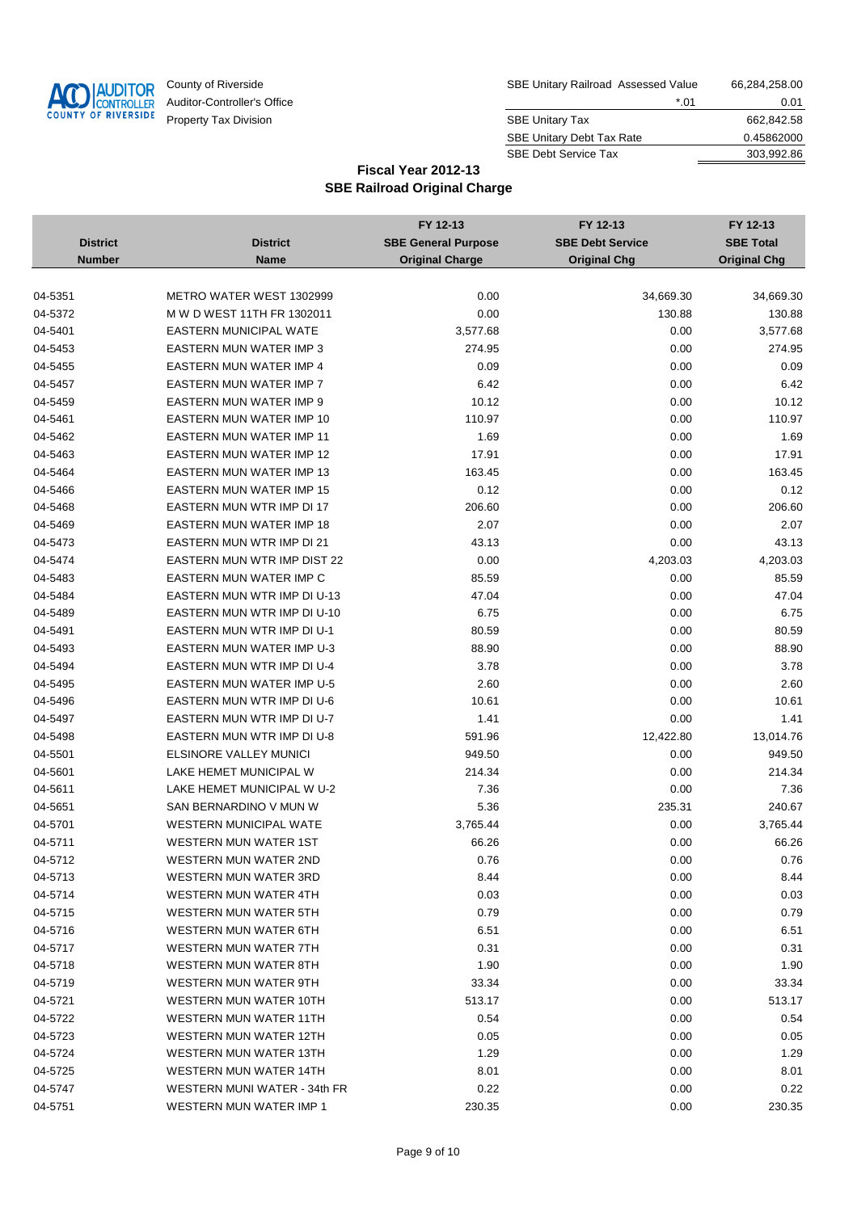

| County of Riverside         | SBE Unitary Railroad Assessed Value | 66,284,258.00 |
|-----------------------------|-------------------------------------|---------------|
| Auditor-Controller's Office | *.01                                | 0.01          |
| Property Tax Division       | <b>SBE Unitary Tax</b>              | 662,842.58    |
|                             | <b>SBE Unitary Debt Tax Rate</b>    | 0.45862000    |
|                             | <b>SBE Debt Service Tax</b>         | 303.992.86    |

|                 |                                  | FY 12-13                   | FY 12-13                | FY 12-13            |
|-----------------|----------------------------------|----------------------------|-------------------------|---------------------|
| <b>District</b> | <b>District</b>                  | <b>SBE General Purpose</b> | <b>SBE Debt Service</b> | <b>SBE Total</b>    |
| <b>Number</b>   | <b>Name</b>                      | <b>Original Charge</b>     | <b>Original Chg</b>     | <b>Original Chg</b> |
|                 |                                  |                            |                         |                     |
| 04-5351         | METRO WATER WEST 1302999         | 0.00                       | 34,669.30               | 34,669.30           |
| 04-5372         | M W D WEST 11TH FR 1302011       | 0.00                       | 130.88                  | 130.88              |
| 04-5401         | <b>EASTERN MUNICIPAL WATE</b>    | 3,577.68                   | 0.00                    | 3,577.68            |
| 04-5453         | EASTERN MUN WATER IMP 3          | 274.95                     | 0.00                    | 274.95              |
| 04-5455         | EASTERN MUN WATER IMP 4          | 0.09                       | 0.00                    | 0.09                |
| 04-5457         | <b>EASTERN MUN WATER IMP 7</b>   | 6.42                       | 0.00                    | 6.42                |
| 04-5459         | EASTERN MUN WATER IMP 9          | 10.12                      | 0.00                    | 10.12               |
| 04-5461         | <b>EASTERN MUN WATER IMP 10</b>  | 110.97                     | 0.00                    | 110.97              |
| 04-5462         | <b>EASTERN MUN WATER IMP 11</b>  | 1.69                       | 0.00                    | 1.69                |
| 04-5463         | EASTERN MUN WATER IMP 12         | 17.91                      | 0.00                    | 17.91               |
| 04-5464         | EASTERN MUN WATER IMP 13         | 163.45                     | 0.00                    | 163.45              |
| 04-5466         | <b>EASTERN MUN WATER IMP 15</b>  | 0.12                       | 0.00                    | 0.12                |
| 04-5468         | EASTERN MUN WTR IMP DI 17        | 206.60                     | 0.00                    | 206.60              |
| 04-5469         | <b>EASTERN MUN WATER IMP 18</b>  | 2.07                       | 0.00                    | 2.07                |
| 04-5473         | EASTERN MUN WTR IMP DI 21        | 43.13                      | 0.00                    | 43.13               |
| 04-5474         | EASTERN MUN WTR IMP DIST 22      | 0.00                       | 4,203.03                | 4,203.03            |
| 04-5483         | EASTERN MUN WATER IMP C          | 85.59                      | 0.00                    | 85.59               |
| 04-5484         | EASTERN MUN WTR IMP DI U-13      | 47.04                      | 0.00                    | 47.04               |
| 04-5489         | EASTERN MUN WTR IMP DI U-10      | 6.75                       | 0.00                    | 6.75                |
| 04-5491         | EASTERN MUN WTR IMP DI U-1       | 80.59                      | 0.00                    | 80.59               |
| 04-5493         | <b>EASTERN MUN WATER IMP U-3</b> | 88.90                      | 0.00                    | 88.90               |
| 04-5494         | EASTERN MUN WTR IMP DI U-4       | 3.78                       | 0.00                    | 3.78                |
| 04-5495         | <b>EASTERN MUN WATER IMP U-5</b> | 2.60                       | 0.00                    | 2.60                |
| 04-5496         | EASTERN MUN WTR IMP DI U-6       | 10.61                      | 0.00                    | 10.61               |
| 04-5497         | EASTERN MUN WTR IMP DI U-7       | 1.41                       | 0.00                    | 1.41                |
| 04-5498         | EASTERN MUN WTR IMP DI U-8       | 591.96                     | 12,422.80               | 13,014.76           |
| 04-5501         | ELSINORE VALLEY MUNICI           | 949.50                     | 0.00                    | 949.50              |
| 04-5601         | LAKE HEMET MUNICIPAL W           | 214.34                     | 0.00                    | 214.34              |
| 04-5611         | LAKE HEMET MUNICIPAL W U-2       | 7.36                       | 0.00                    | 7.36                |
| 04-5651         | SAN BERNARDINO V MUN W           | 5.36                       | 235.31                  | 240.67              |
| 04-5701         | <b>WESTERN MUNICIPAL WATE</b>    | 3,765.44                   | 0.00                    | 3,765.44            |
| 04-5711         | <b>WESTERN MUN WATER 1ST</b>     | 66.26                      | 0.00                    | 66.26               |
| 04-5712         | <b>WESTERN MUN WATER 2ND</b>     | 0.76                       | 0.00                    | 0.76                |
| 04-5713         | <b>WESTERN MUN WATER 3RD</b>     | 8.44                       | 0.00                    | 8.44                |
| 04-5714         | WESTERN MUN WATER 4TH            | 0.03                       | 0.00                    | 0.03                |
| 04-5715         | WESTERN MUN WATER 5TH            | 0.79                       | 0.00                    | 0.79                |
| 04-5716         | WESTERN MUN WATER 6TH            | 6.51                       | 0.00                    | 6.51                |
| 04-5717         | WESTERN MUN WATER 7TH            | 0.31                       | 0.00                    | 0.31                |
| 04-5718         | WESTERN MUN WATER 8TH            | 1.90                       | 0.00                    | 1.90                |
| 04-5719         | WESTERN MUN WATER 9TH            | 33.34                      | 0.00                    | 33.34               |
| 04-5721         | WESTERN MUN WATER 10TH           | 513.17                     | 0.00                    | 513.17              |
| 04-5722         | WESTERN MUN WATER 11TH           | 0.54                       | 0.00                    | 0.54                |
| 04-5723         | WESTERN MUN WATER 12TH           | 0.05                       | 0.00                    | 0.05                |
| 04-5724         | WESTERN MUN WATER 13TH           | 1.29                       | 0.00                    | 1.29                |
| 04-5725         | WESTERN MUN WATER 14TH           | 8.01                       | 0.00                    | 8.01                |
| 04-5747         | WESTERN MUNI WATER - 34th FR     | 0.22                       | 0.00                    | 0.22                |
| 04-5751         | WESTERN MUN WATER IMP 1          | 230.35                     | 0.00                    | 230.35              |
|                 |                                  |                            |                         |                     |